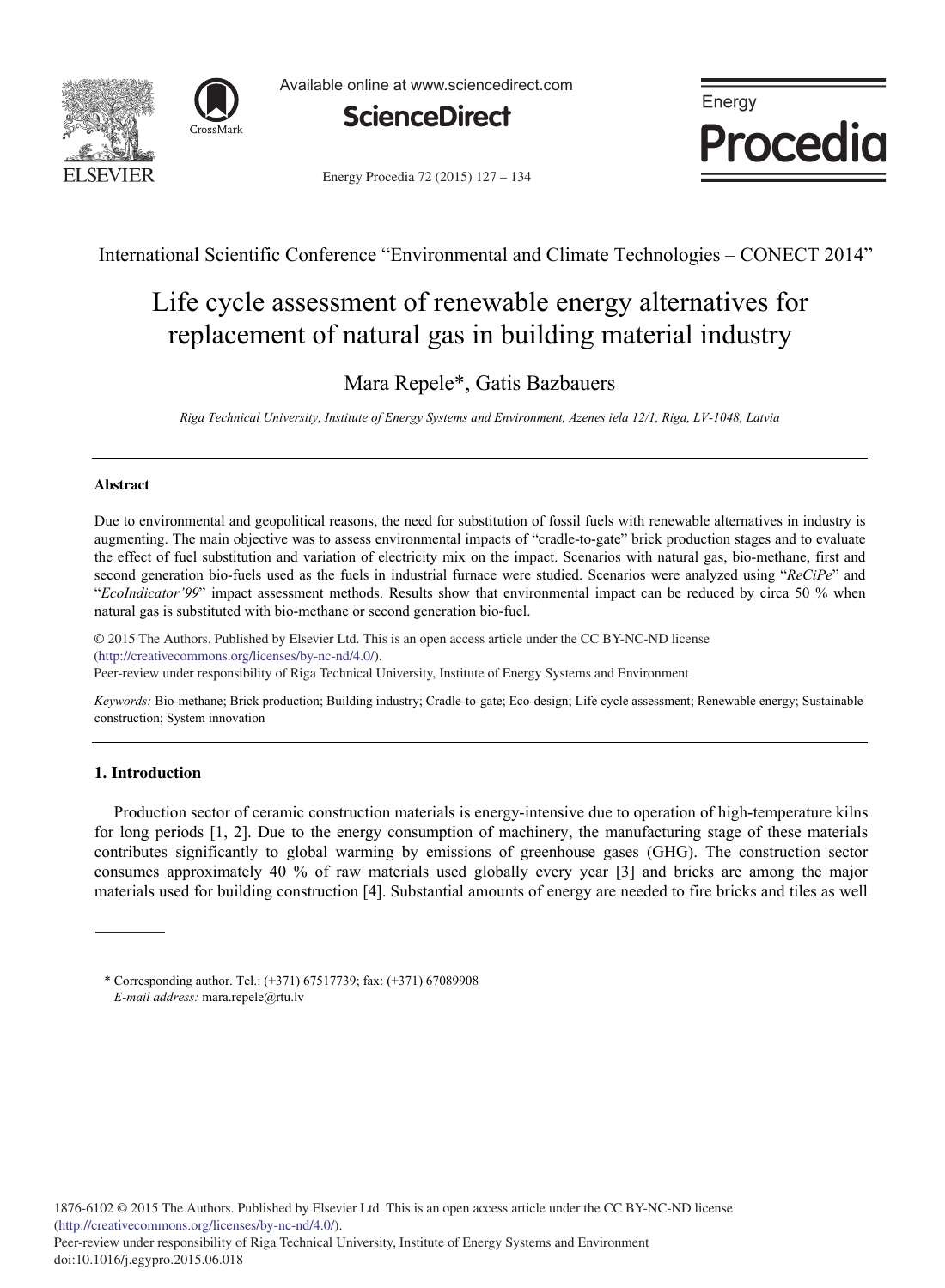



Available online at www.sciencedirect.com



Energy Procedia 72 (2015) 127 - 134



International Scientific Conference "Environmental and Climate Technologies – CONECT 2014"

# Life cycle assessment of renewable energy alternatives for replacement of natural gas in building material industry

### Mara Repele\*, Gatis Bazbauers

*Riga Technical University, Institute of Energy Systems and Environment, Azenes iela 12/1, Riga, LV-1048, Latvia* 

#### **Abstract**

Due to environmental and geopolitical reasons, the need for substitution of fossil fuels with renewable alternatives in industry is augmenting. The main objective was to assess environmental impacts of "cradle-to-gate" brick production stages and to evaluate the effect of fuel substitution and variation of electricity mix on the impact. Scenarios with natural gas, bio-methane, first and second generation bio-fuels used as the fuels in industrial furnace were studied. Scenarios were analyzed using "*ReCiPe*" and "*EcoIndicator'99*" impact assessment methods. Results show that environmental impact can be reduced by circa 50 % when natural gas is substituted with bio-methane or second generation bio-fuel.

© 2015 The Authors. Published by Elsevier Ltd. (http://creativecommons.org/licenses/by-nc-nd/4.0/). © 2015 The Authors. Published by Elsevier Ltd. This is an open access article under the CC BY-NC-ND license

Peer-review under responsibility of Riga Technical University, Institute of Energy Systems and Environment. Peer-review under responsibility of Riga Technical University, Institute of Energy Systems and Environment

*Keywords:* Bio-methane; Brick production; Building industry; Cradle-to-gate; Eco-design; Life cycle assessment; Renewable energy; Sustainable construction; System innovation

#### **1. Introduction**

doi: 10.1016/j.egypro.2015.06.018

Production sector of ceramic construction materials is energy-intensive due to operation of high-temperature kilns for long periods [1, 2]. Due to the energy consumption of machinery, the manufacturing stage of these materials contributes significantly to global warming by emissions of greenhouse gases (GHG). The construction sector consumes approximately 40 % of raw materials used globally every year [3] and bricks are among the major materials used for building construction [4]. Substantial amounts of energy are needed to fire bricks and tiles as well

<sup>\*</sup> Corresponding author. Tel.: (+371) 67517739; fax: (+371) 67089908 *E-mail address:* mara.repele@rtu.lv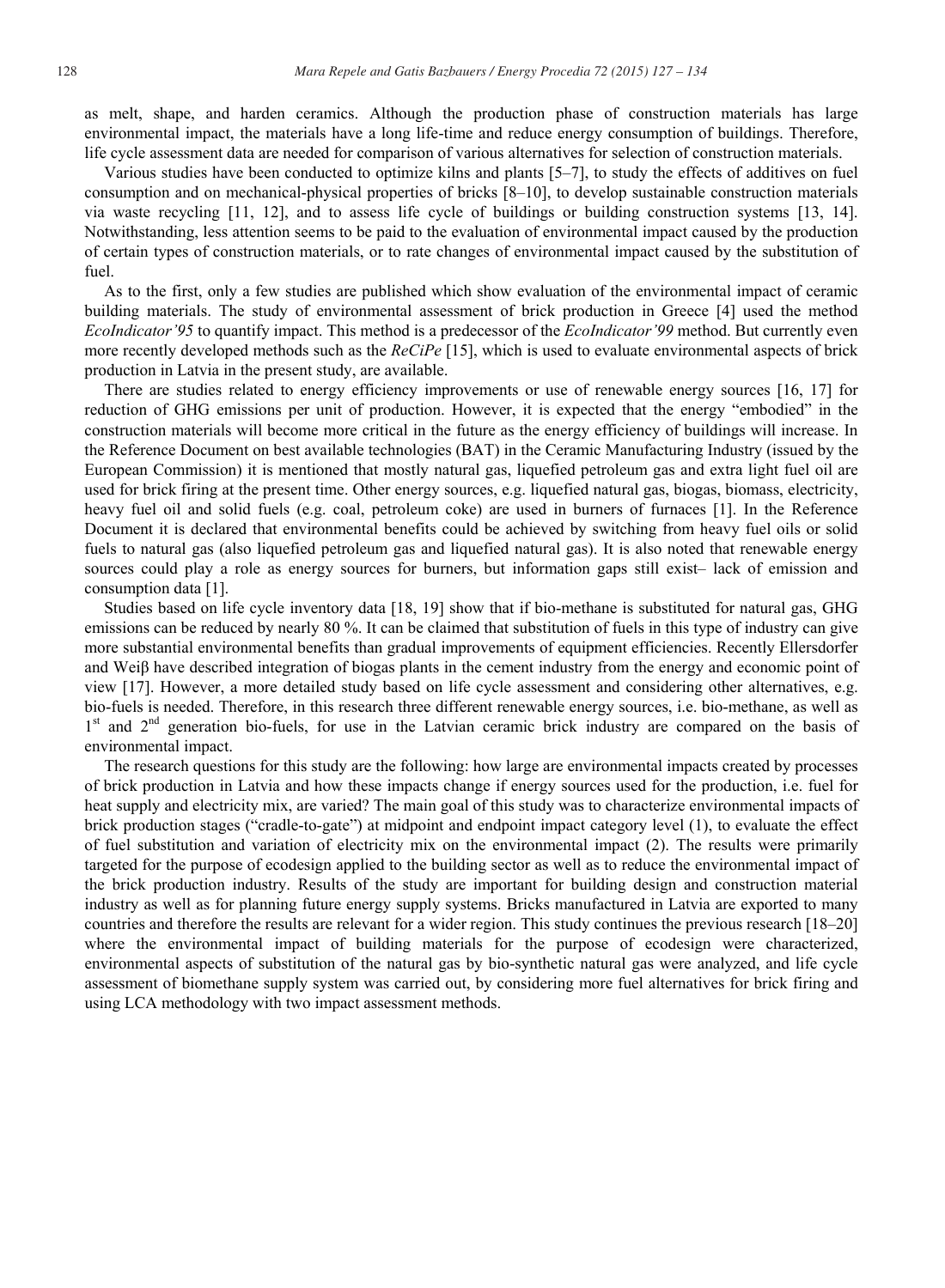as melt, shape, and harden ceramics. Although the production phase of construction materials has large environmental impact, the materials have a long life-time and reduce energy consumption of buildings. Therefore, life cycle assessment data are needed for comparison of various alternatives for selection of construction materials.

Various studies have been conducted to optimize kilns and plants [5–7], to study the effects of additives on fuel consumption and on mechanical-physical properties of bricks [8–10], to develop sustainable construction materials via waste recycling [11, 12], and to assess life cycle of buildings or building construction systems [13, 14]. Notwithstanding, less attention seems to be paid to the evaluation of environmental impact caused by the production of certain types of construction materials, or to rate changes of environmental impact caused by the substitution of fuel.

As to the first, only a few studies are published which show evaluation of the environmental impact of ceramic building materials. The study of environmental assessment of brick production in Greece [4] used the method *EcoIndicator'95* to quantify impact. This method is a predecessor of the *EcoIndicator'99* method. But currently even more recently developed methods such as the *ReCiPe* [15], which is used to evaluate environmental aspects of brick production in Latvia in the present study, are available.

There are studies related to energy efficiency improvements or use of renewable energy sources [16, 17] for reduction of GHG emissions per unit of production. However, it is expected that the energy "embodied" in the construction materials will become more critical in the future as the energy efficiency of buildings will increase. In the Reference Document on best available technologies (BAT) in the Ceramic Manufacturing Industry (issued by the European Commission) it is mentioned that mostly natural gas, liquefied petroleum gas and extra light fuel oil are used for brick firing at the present time. Other energy sources, e.g. liquefied natural gas, biogas, biomass, electricity, heavy fuel oil and solid fuels (e.g. coal, petroleum coke) are used in burners of furnaces [1]. In the Reference Document it is declared that environmental benefits could be achieved by switching from heavy fuel oils or solid fuels to natural gas (also liquefied petroleum gas and liquefied natural gas). It is also noted that renewable energy sources could play a role as energy sources for burners, but information gaps still exist– lack of emission and consumption data [1].

Studies based on life cycle inventory data [18, 19] show that if bio-methane is substituted for natural gas, GHG emissions can be reduced by nearly 80 %. It can be claimed that substitution of fuels in this type of industry can give more substantial environmental benefits than gradual improvements of equipment efficiencies. Recently Ellersdorfer and Weiß have described integration of biogas plants in the cement industry from the energy and economic point of view [17]. However, a more detailed study based on life cycle assessment and considering other alternatives, e.g. bio-fuels is needed. Therefore, in this research three different renewable energy sources, i.e. bio-methane, as well as 1<sup>st</sup> and 2<sup>nd</sup> generation bio-fuels, for use in the Latvian ceramic brick industry are compared on the basis of environmental impact.

The research questions for this study are the following: how large are environmental impacts created by processes of brick production in Latvia and how these impacts change if energy sources used for the production, i.e. fuel for heat supply and electricity mix, are varied? The main goal of this study was to characterize environmental impacts of brick production stages ("cradle-to-gate") at midpoint and endpoint impact category level (1), to evaluate the effect of fuel substitution and variation of electricity mix on the environmental impact (2). The results were primarily targeted for the purpose of ecodesign applied to the building sector as well as to reduce the environmental impact of the brick production industry. Results of the study are important for building design and construction material industry as well as for planning future energy supply systems. Bricks manufactured in Latvia are exported to many countries and therefore the results are relevant for a wider region. This study continues the previous research [18–20] where the environmental impact of building materials for the purpose of ecodesign were characterized, environmental aspects of substitution of the natural gas by bio-synthetic natural gas were analyzed, and life cycle assessment of biomethane supply system was carried out, by considering more fuel alternatives for brick firing and using LCA methodology with two impact assessment methods.